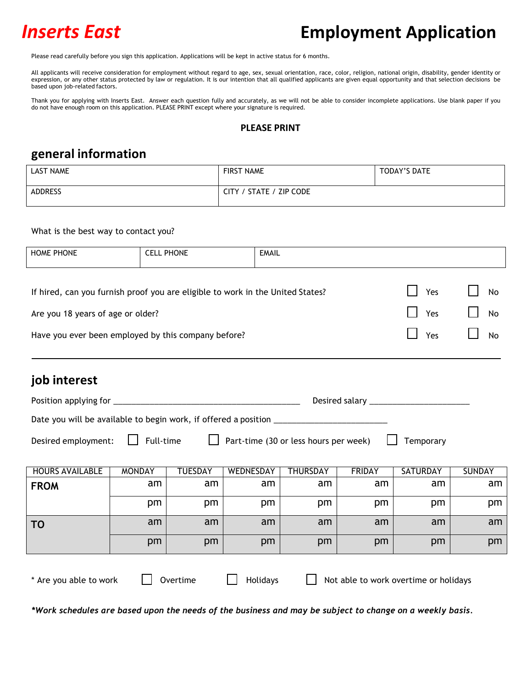# *Inserts East* **Employment Application**

Please read carefully before you sign this application. Applications will be kept in active status for 6 months.

All applicants will receive consideration for employment without regard to age, sex, sexual orientation, race, color, religion, national origin, disability, gender identity or expression, or any other status protected by law or regulation. It is our intention that all qualified applicants are given equal opportunity and that selection decisions be based upon job-related factors.

Thank you for applying with Inserts East. Answer each question fully and accurately, as we will not be able to consider incomplete applications. Use blank paper if you do not have enough room on this application. PLEASE PRINT except where your signature is required.

#### **PLEASE PRINT**

#### **general information**

| <b>LAST NAME</b> | <b>FIRST NAME</b>       | TODAY'S DATE |
|------------------|-------------------------|--------------|
| <b>ADDRESS</b>   | CITY / STATE / ZIP CODE |              |

#### What is the best way to contact you?

| <b>HOME PHONE</b>                                                                           |                                                                  | <b>CELL PHONE</b> | <b>EMAIL</b> |          |               |                 |               |  |  |
|---------------------------------------------------------------------------------------------|------------------------------------------------------------------|-------------------|--------------|----------|---------------|-----------------|---------------|--|--|
|                                                                                             |                                                                  |                   |              |          |               |                 |               |  |  |
| Yes<br>No<br>If hired, can you furnish proof you are eligible to work in the United States? |                                                                  |                   |              |          |               |                 |               |  |  |
|                                                                                             | Yes<br>No<br>Are you 18 years of age or older?                   |                   |              |          |               |                 |               |  |  |
|                                                                                             | Have you ever been employed by this company before?<br>Yes<br>No |                   |              |          |               |                 |               |  |  |
|                                                                                             |                                                                  |                   |              |          |               |                 |               |  |  |
| job interest                                                                                |                                                                  |                   |              |          |               |                 |               |  |  |
|                                                                                             |                                                                  |                   |              |          |               |                 |               |  |  |
|                                                                                             |                                                                  |                   |              |          |               |                 |               |  |  |
| Part-time (30 or less hours per week)<br>Full-time    <br>Desired employment:<br>Temporary  |                                                                  |                   |              |          |               |                 |               |  |  |
|                                                                                             |                                                                  |                   |              |          |               |                 |               |  |  |
| <b>HOURS AVAILABLE</b>                                                                      | <b>MONDAY</b>                                                    | <b>TUESDAY</b>    | WEDNESDAY    | THURSDAY | <b>FRIDAY</b> | <b>SATURDAY</b> | <b>SUNDAY</b> |  |  |
| <b>FROM</b>                                                                                 | am                                                               | am                | am           | am       | am            | am              | am            |  |  |

pm | pm | pm | pm | pm | pm **TO** am am am am am am am pm | pm | pm | pm | pm | pm

\*Work schedules are based upon the needs of the business and may be subject to change on a weekly basis.

\* Are you able to work  $\Box$  Overtime  $\Box$  Holidays  $\Box$  Not able to work overtime or holidays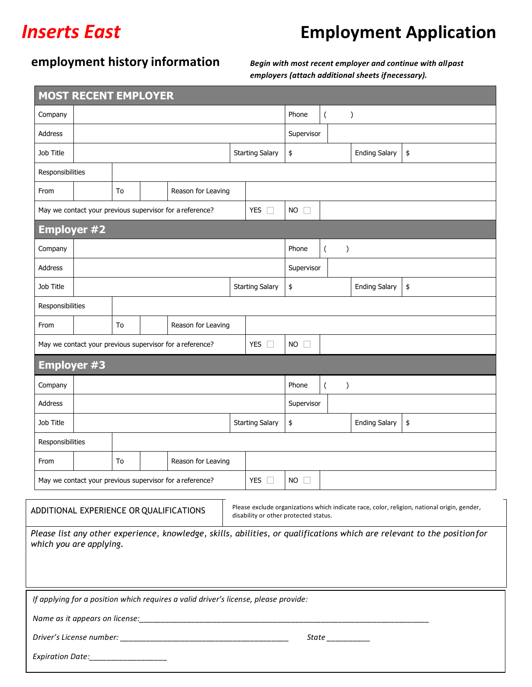# *Inserts East* **Employment Application**

## **employment history information** *Begin with most recent employer and continue with all past*

*employers (attach additional sheets ifnecessary).*

| <b>MOST RECENT EMPLOYER</b>                                                                                                                                                                                                                                                                                                           |                                                          |    |  |                                                                                     |                                            |                                   |                                            |  |                      |                      |    |
|---------------------------------------------------------------------------------------------------------------------------------------------------------------------------------------------------------------------------------------------------------------------------------------------------------------------------------------|----------------------------------------------------------|----|--|-------------------------------------------------------------------------------------|--------------------------------------------|-----------------------------------|--------------------------------------------|--|----------------------|----------------------|----|
| Company                                                                                                                                                                                                                                                                                                                               |                                                          |    |  |                                                                                     | Phone                                      | $\overline{(\ }$<br>$\mathcal{C}$ |                                            |  |                      |                      |    |
| Address                                                                                                                                                                                                                                                                                                                               |                                                          |    |  |                                                                                     | Supervisor                                 |                                   |                                            |  |                      |                      |    |
| Job Title                                                                                                                                                                                                                                                                                                                             |                                                          |    |  |                                                                                     |                                            | <b>Starting Salary</b>            | \$                                         |  |                      | <b>Ending Salary</b> | \$ |
| Responsibilities                                                                                                                                                                                                                                                                                                                      |                                                          |    |  |                                                                                     |                                            |                                   |                                            |  |                      |                      |    |
| From                                                                                                                                                                                                                                                                                                                                  |                                                          | To |  | Reason for Leaving                                                                  |                                            |                                   |                                            |  |                      |                      |    |
|                                                                                                                                                                                                                                                                                                                                       |                                                          |    |  | May we contact your previous supervisor for a reference?                            |                                            | <b>YES</b>                        | <b>NO</b>                                  |  |                      |                      |    |
| <b>Employer #2</b>                                                                                                                                                                                                                                                                                                                    |                                                          |    |  |                                                                                     |                                            |                                   |                                            |  |                      |                      |    |
| Company                                                                                                                                                                                                                                                                                                                               |                                                          |    |  |                                                                                     |                                            |                                   | Phone<br>$\overline{(\ }$<br>$\mathcal{E}$ |  |                      |                      |    |
| <b>Address</b>                                                                                                                                                                                                                                                                                                                        |                                                          |    |  |                                                                                     |                                            |                                   | Supervisor                                 |  |                      |                      |    |
| Job Title                                                                                                                                                                                                                                                                                                                             |                                                          |    |  |                                                                                     | <b>Starting Salary</b>                     | \$                                |                                            |  | <b>Ending Salary</b> | \$                   |    |
| Responsibilities                                                                                                                                                                                                                                                                                                                      |                                                          |    |  |                                                                                     |                                            |                                   |                                            |  |                      |                      |    |
| From                                                                                                                                                                                                                                                                                                                                  |                                                          | To |  | Reason for Leaving                                                                  |                                            |                                   |                                            |  |                      |                      |    |
|                                                                                                                                                                                                                                                                                                                                       | May we contact your previous supervisor for a reference? |    |  | <b>YES</b><br>ш                                                                     | <b>NO</b><br>$\Box$                        |                                   |                                            |  |                      |                      |    |
| <b>Employer #3</b>                                                                                                                                                                                                                                                                                                                    |                                                          |    |  |                                                                                     |                                            |                                   |                                            |  |                      |                      |    |
| Company                                                                                                                                                                                                                                                                                                                               |                                                          |    |  |                                                                                     | Phone<br>$\overline{(\ }$<br>$\mathcal{E}$ |                                   |                                            |  |                      |                      |    |
| Address                                                                                                                                                                                                                                                                                                                               |                                                          |    |  |                                                                                     |                                            | Supervisor                        |                                            |  |                      |                      |    |
| Job Title                                                                                                                                                                                                                                                                                                                             |                                                          |    |  |                                                                                     |                                            | <b>Starting Salary</b>            | \$                                         |  |                      | <b>Ending Salary</b> | \$ |
| Responsibilities                                                                                                                                                                                                                                                                                                                      |                                                          |    |  |                                                                                     |                                            |                                   |                                            |  |                      |                      |    |
| From                                                                                                                                                                                                                                                                                                                                  |                                                          | To |  | Reason for Leaving                                                                  |                                            |                                   |                                            |  |                      |                      |    |
|                                                                                                                                                                                                                                                                                                                                       | May we contact your previous supervisor for a reference? |    |  | YES                                                                                 | <b>NO</b>                                  |                                   |                                            |  |                      |                      |    |
| Please exclude organizations which indicate race, color, religion, national origin, gender,<br>ADDITIONAL EXPERIENCE OR QUALIFICATIONS<br>disability or other protected status.<br>Please list any other experience, knowledge, skills, abilities, or qualifications which are relevant to the positionfor<br>which you are applying. |                                                          |    |  |                                                                                     |                                            |                                   |                                            |  |                      |                      |    |
|                                                                                                                                                                                                                                                                                                                                       |                                                          |    |  |                                                                                     |                                            |                                   |                                            |  |                      |                      |    |
| Name as it appears on license:                                                                                                                                                                                                                                                                                                        |                                                          |    |  | If applying for a position which requires a valid driver's license, please provide: |                                            |                                   |                                            |  |                      |                      |    |

*Driver's License number: \_\_\_\_\_\_\_\_\_\_\_\_\_\_\_\_\_\_\_\_\_\_\_\_\_\_\_\_\_\_\_\_\_\_\_\_\_\_\_ State \_\_\_\_\_\_\_\_\_\_*

*Expiration Date:\_\_\_\_\_\_\_\_\_\_\_\_\_\_\_\_\_\_*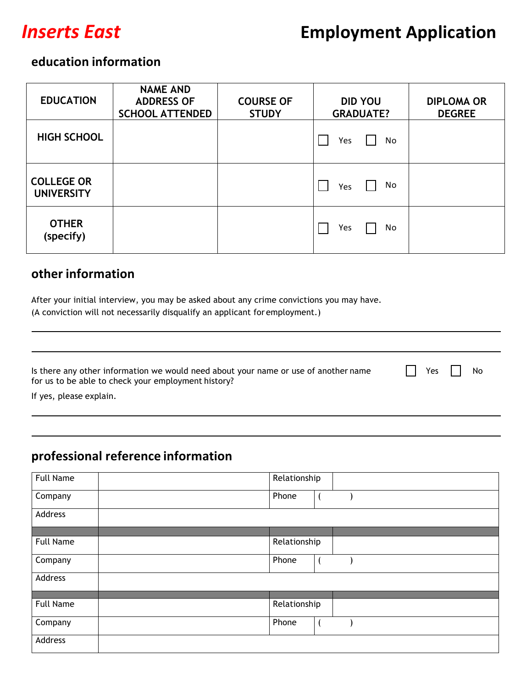

### **education information**

| <b>EDUCATION</b>                       | <b>NAME AND</b><br><b>ADDRESS OF</b><br><b>SCHOOL ATTENDED</b> | <b>COURSE OF</b><br><b>STUDY</b> | <b>DID YOU</b><br><b>GRADUATE?</b> | <b>DIPLOMA OR</b><br><b>DEGREE</b> |
|----------------------------------------|----------------------------------------------------------------|----------------------------------|------------------------------------|------------------------------------|
| <b>HIGH SCHOOL</b>                     |                                                                |                                  | Yes<br>No                          |                                    |
| <b>COLLEGE OR</b><br><b>UNIVERSITY</b> |                                                                |                                  | No<br>Yes                          |                                    |
| <b>OTHER</b><br>(specify)              |                                                                |                                  | Yes<br>No                          |                                    |

#### **other information**

After your initial interview, you may be asked about any crime convictions you may have. (A conviction will not necessarily disqualify an applicant for employment.)

|  | Is there any other information we would need about your name or use of another name | $\Box$ Yes $\Box$ No |  |
|--|-------------------------------------------------------------------------------------|----------------------|--|
|  | for us to be able to check your employment history?                                 |                      |  |
|  |                                                                                     |                      |  |

If yes, please explain.

## **professional reference information**

| <b>Full Name</b> | Relationship |
|------------------|--------------|
| Company          | Phone        |
| Address          |              |
|                  |              |
| <b>Full Name</b> | Relationship |
| Company          | Phone        |
| Address          |              |
|                  |              |
| <b>Full Name</b> | Relationship |
| Company          | Phone        |
| Address          |              |